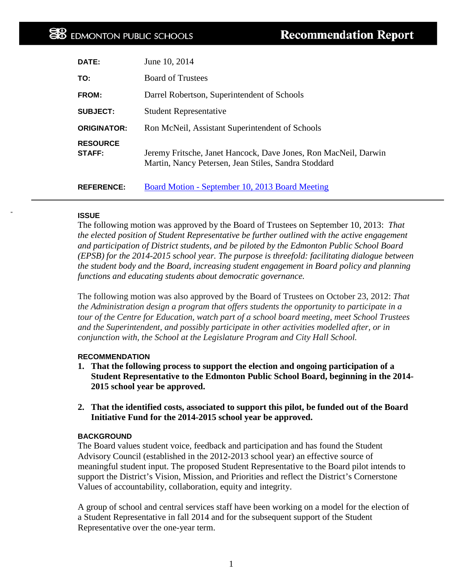| DATE:                     | June 10, 2014                                                                                                           |
|---------------------------|-------------------------------------------------------------------------------------------------------------------------|
| TO:                       | <b>Board of Trustees</b>                                                                                                |
| FROM:                     | Darrel Robertson, Superintendent of Schools                                                                             |
| <b>SUBJECT:</b>           | <b>Student Representative</b>                                                                                           |
| <b>ORIGINATOR:</b>        | Ron McNeil, Assistant Superintendent of Schools                                                                         |
| <b>RESOURCE</b><br>STAFF: | Jeremy Fritsche, Janet Hancock, Dave Jones, Ron MacNeil, Darwin<br>Martin, Nancy Petersen, Jean Stiles, Sandra Stoddard |
| <b>REFERENCE:</b>         | Board Motion - September 10, 2013 Board Meeting                                                                         |

### **ISSUE**

The following motion was approved by the Board of Trustees on September 10, 2013: *That the elected position of Student Representative be further outlined with the active engagement and participation of District students, and be piloted by the Edmonton Public School Board (EPSB) for the 2014-2015 school year. The purpose is threefold: facilitating dialogue between the student body and the Board, increasing student engagement in Board policy and planning functions and educating students about democratic governance.*

The following motion was also approved by the Board of Trustees on October 23, 2012: *That the Administration design a program that offers students the opportunity to participate in a tour of the Centre for Education, watch part of a school board meeting, meet School Trustees and the Superintendent, and possibly participate in other activities modelled after, or in conjunction with, the School at the Legislature Program and City Hall School.*

#### **RECOMMENDATION**

- **1. That the following process to support the election and ongoing participation of a Student Representative to the Edmonton Public School Board, beginning in the 2014- 2015 school year be approved.**
- **2. That the identified costs, associated to support this pilot, be funded out of the Board Initiative Fund for the 2014-2015 school year be approved.**

#### **BACKGROUND**

The Board values student voice, feedback and participation and has found the Student Advisory Council (established in the 2012-2013 school year) an effective source of meaningful student input. The proposed Student Representative to the Board pilot intends to support the District's Vision, Mission, and Priorities and reflect the District's Cornerstone Values of accountability, collaboration, equity and integrity.

A group of school and central services staff have been working on a model for the election of a Student Representative in fall 2014 and for the subsequent support of the Student Representative over the one-year term.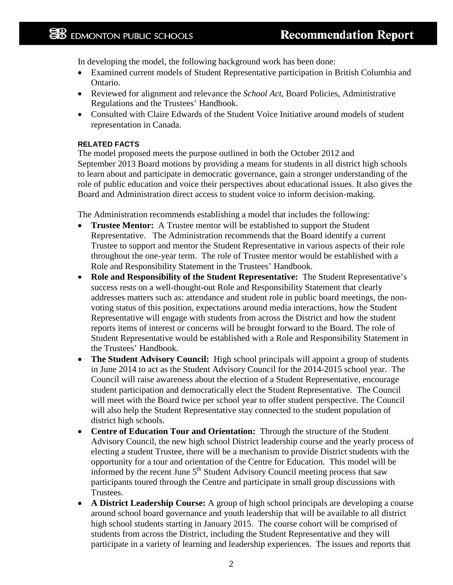In developing the model, the following background work has been done:

- Examined current models of Student Representative participation in British Columbia and Ontario.
- Reviewed for alignment and relevance the *School Act*, Board Policies, Administrative Regulations and the Trustees' Handbook.
- Consulted with Claire Edwards of the Student Voice Initiative around models of student representation in Canada.

### **RELATED FACTS**

The model proposed meets the purpose outlined in both the October 2012 and September 2013 Board motions by providing a means for students in all district high schools to learn about and participate in democratic governance, gain a stronger understanding of the role of public education and voice their perspectives about educational issues. It also gives the Board and Administration direct access to student voice to inform decision-making.

The Administration recommends establishing a model that includes the following:

- **Trustee Mentor:** A Trustee mentor will be established to support the Student Representative. The Administration recommends that the Board identify a current Trustee to support and mentor the Student Representative in various aspects of their role throughout the one-year term. The role of Trustee mentor would be established with a Role and Responsibility Statement in the Trustees' Handbook.
- **Role and Responsibility of the Student Representative:** The Student Representative's success rests on a well-thought-out Role and Responsibility Statement that clearly addresses matters such as: attendance and student role in public board meetings, the nonvoting status of this position, expectations around media interactions, how the Student Representative will engage with students from across the District and how the student reports items of interest or concerns will be brought forward to the Board. The role of Student Representative would be established with a Role and Responsibility Statement in the Trustees' Handbook.
- **The Student Advisory Council:** High school principals will appoint a group of students in June 2014 to act as the Student Advisory Council for the 2014-2015 school year. The Council will raise awareness about the election of a Student Representative, encourage student participation and democratically elect the Student Representative. The Council will meet with the Board twice per school year to offer student perspective. The Council will also help the Student Representative stay connected to the student population of district high schools.
- **Centre of Education Tour and Orientation:** Through the structure of the Student Advisory Council, the new high school District leadership course and the yearly process of electing a student Trustee, there will be a mechanism to provide District students with the opportunity for a tour and orientation of the Centre for Education. This model will be informed by the recent June  $5<sup>th</sup>$  Student Advisory Council meeting process that saw participants toured through the Centre and participate in small group discussions with Trustees.
- **A District Leadership Course:** A group of high school principals are developing a course around school board governance and youth leadership that will be available to all district high school students starting in January 2015. The course cohort will be comprised of students from across the District, including the Student Representative and they will participate in a variety of learning and leadership experiences. The issues and reports that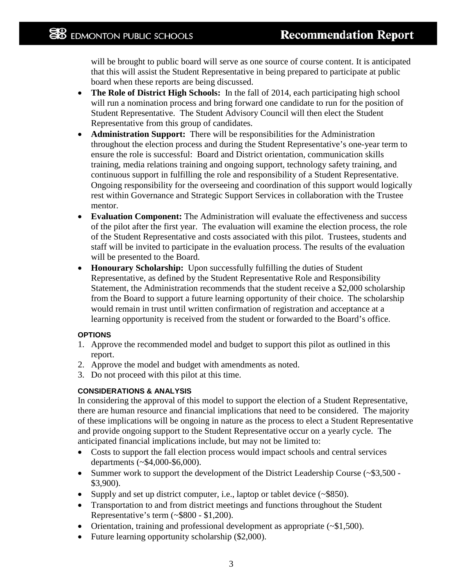will be brought to public board will serve as one source of course content. It is anticipated that this will assist the Student Representative in being prepared to participate at public board when these reports are being discussed.

- **The Role of District High Schools:** In the fall of 2014, each participating high school will run a nomination process and bring forward one candidate to run for the position of Student Representative. The Student Advisory Council will then elect the Student Representative from this group of candidates.
- **Administration Support:** There will be responsibilities for the Administration throughout the election process and during the Student Representative's one-year term to ensure the role is successful: Board and District orientation, communication skills training, media relations training and ongoing support, technology safety training, and continuous support in fulfilling the role and responsibility of a Student Representative. Ongoing responsibility for the overseeing and coordination of this support would logically rest within Governance and Strategic Support Services in collaboration with the Trustee mentor.
- **Evaluation Component:** The Administration will evaluate the effectiveness and success of the pilot after the first year. The evaluation will examine the election process, the role of the Student Representative and costs associated with this pilot. Trustees, students and staff will be invited to participate in the evaluation process. The results of the evaluation will be presented to the Board.
- **Honourary Scholarship:** Upon successfully fulfilling the duties of Student Representative, as defined by the Student Representative Role and Responsibility Statement, the Administration recommends that the student receive a \$2,000 scholarship from the Board to support a future learning opportunity of their choice. The scholarship would remain in trust until written confirmation of registration and acceptance at a learning opportunity is received from the student or forwarded to the Board's office.

# **OPTIONS**

- 1. Approve the recommended model and budget to support this pilot as outlined in this report.
- 2. Approve the model and budget with amendments as noted.
- 3. Do not proceed with this pilot at this time.

# **CONSIDERATIONS & ANALYSIS**

In considering the approval of this model to support the election of a Student Representative, there are human resource and financial implications that need to be considered. The majority of these implications will be ongoing in nature as the process to elect a Student Representative and provide ongoing support to the Student Representative occur on a yearly cycle. The anticipated financial implications include, but may not be limited to:

- Costs to support the fall election process would impact schools and central services departments (~\$4,000-\$6,000).
- Summer work to support the development of the District Leadership Course (~\$3,500 -\$3,900).
- Supply and set up district computer, i.e., laptop or tablet device (~\$850).
- Transportation to and from district meetings and functions throughout the Student Representative's term (~\$800 - \$1,200).
- Orientation, training and professional development as appropriate (~\$1,500).
- Future learning opportunity scholarship (\$2,000).